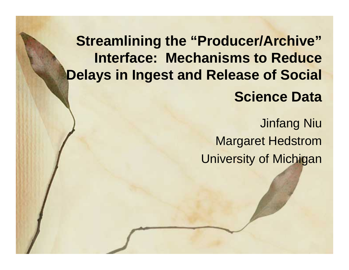## **Streamlining the "Producer/Archive" Interface: Mechanisms to Reduce Delays in Ingest and Release of Social Science Data**

Jinfang Niu Margaret Hedstrom University of Michigan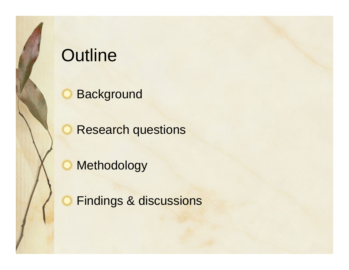# **Outline**

**Background** 

Research questions

Methodology

C.

Findings & discussions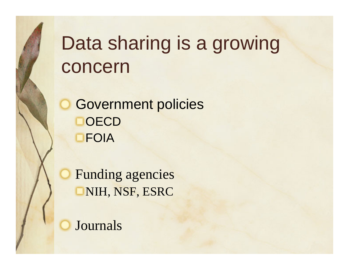# Data sharing is a growing concern

Government policies **OECD** FOIA

Funding agencies NIH, NSF, ESRC

Journals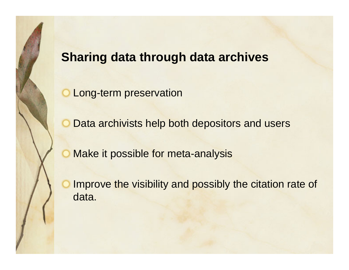### **Sharing data through data archives**

Long-term preservation

Data archivists help both depositors and users

Make it possible for meta-analysis

Improve the visibility and possibly the citation rate of data.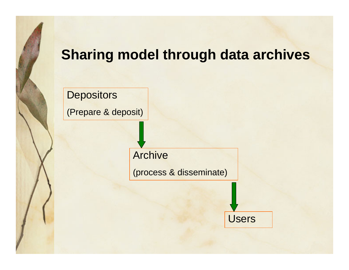## **Sharing model through data archives**

**Depositors** 

(Prepare & deposit)

Archive

(process & disseminate)

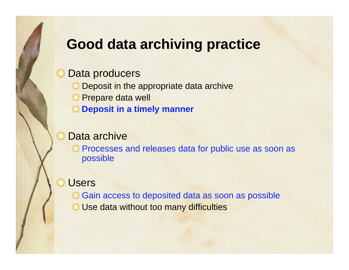## **Good data archiving practice**

#### Data producers

- Deposit in the appropriate data archive
- **D** Prepare data well
- **Deposit in a timely manner**

#### Data archive

Processes and releases data for public use as soon as possible

#### Users

**□ Gain access to deposited data as soon as possible Use data without too many difficulties**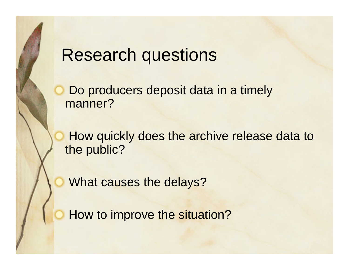## Research questions

Do producers deposit data in a timely manner?

How quickly does the archive release data to the public?

What causes the delays?

How to improve the situation?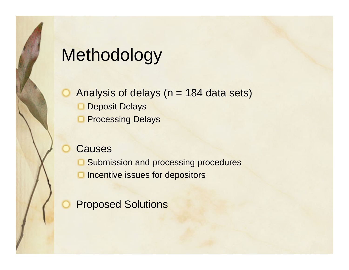# Methodology

Analysis of delays ( $n = 184$  data sets) Deposit Delays Processing Delays

#### Causes

Submission and processing procedures

Incentive issues for depositors

Proposed Solutions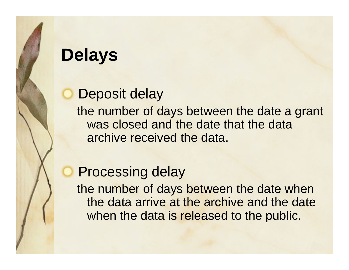# **Delays**

Deposit delay the number of days between the date a grant was closed and the date that the data archive received the data.

## Processing delay

the number of days between the date when the data arrive at the archive and the date when the data is released to the public.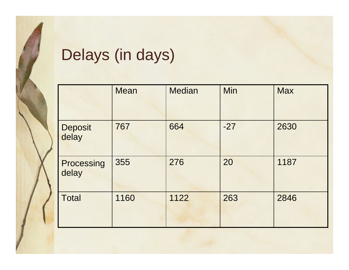# Delays (in days)

|                         | <b>Mean</b> | <b>Median</b> | Min   | <b>Max</b> |
|-------------------------|-------------|---------------|-------|------------|
| <b>Deposit</b><br>delay | 767         | 664           | $-27$ | 2630       |
| Processing<br>delay     | 355         | 276           | 20    | 1187       |
| <b>Total</b>            | 1160        | 1122          | 263   | 2846       |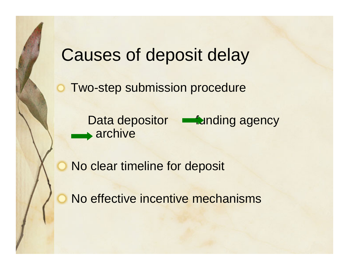## Causes of deposit delay

Two-step submission procedure

Data depositor **Funding agency** archive

No clear timeline for deposit

No effective incentive mechanisms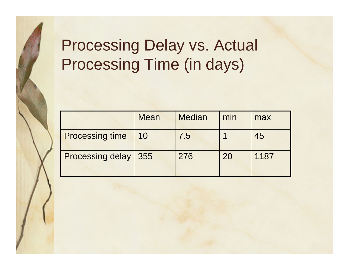# Processing Delay vs. Actual Processing Time (in days)

|                               | <b>Mean</b> | <b>Median</b> | min | max  |
|-------------------------------|-------------|---------------|-----|------|
| <b>Processing time</b>        | 10          | 7.5           |     | 45   |
| <b>Processing delay   355</b> |             | 276           | 20  | 1187 |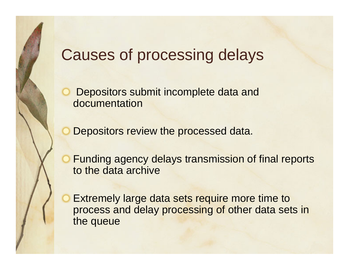## Causes of processing delays

Depositors submit incomplete data and documentation

Depositors review the processed data.

Funding agency delays transmission of final reports to the data archive

Extremely large data sets require more time to process and delay processing of other data sets in the queue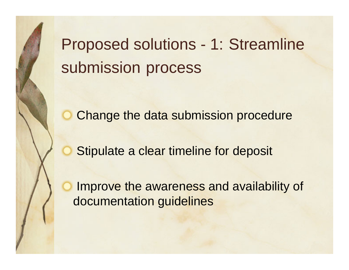Proposed solutions - 1: Streamline submission process

Change the data submission procedure

Stipulate a clear timeline for deposit

Improve the awareness and availability of documentation guidelines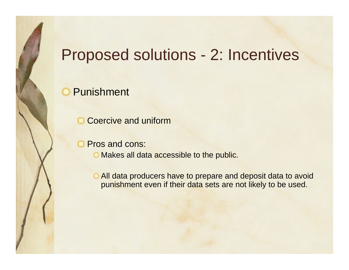## Proposed solutions - 2: Incentives

#### Punishment

Coercive and uniform

Pros and cons:

**O** Makes all data accessible to the public.

All data producers have to prepare and deposit data to avoid punishment even if their data sets are not likely to be used.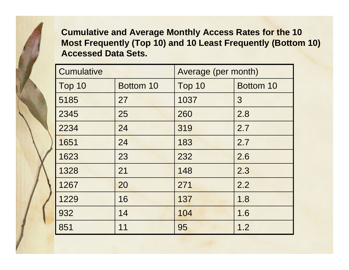**Cumulative and Average Monthly Access Rates for the 10 Most Frequently (Top 10) and 10 Least Frequently (Bottom 10) Accessed Data Sets.**

| <b>Cumulative</b> |           | Average (per month) |           |  |
|-------------------|-----------|---------------------|-----------|--|
| Top 10            | Bottom 10 | Top 10              | Bottom 10 |  |
| 5185              | 27        | 1037                | 3         |  |
| 2345              | 25        | 260                 | 2.8       |  |
| 2234              | 24        | 319                 | 2.7       |  |
| 1651              | 24        | 183                 | 2.7       |  |
| 1623              | 23        | 232                 | 2.6       |  |
| 1328              | 21        | 148                 | 2.3       |  |
| 1267              | 20        | 271                 | 2.2       |  |
| 1229              | 16        | 137                 | 1.8       |  |
| 932               | 14        | 104                 | 1.6       |  |
| 851               | 11        | 95                  | 1.2       |  |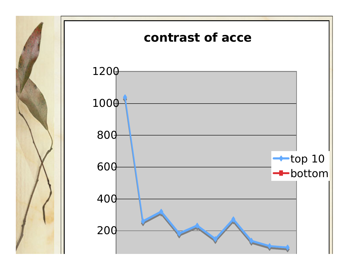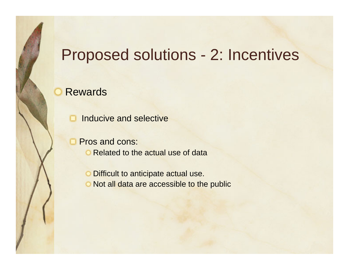## Proposed solutions - 2: Incentives

Rewards

Inducive and selective

Pros and cons:

**O** Related to the actual use of data

Difficult to anticipate actual use.

O Not all data are accessible to the public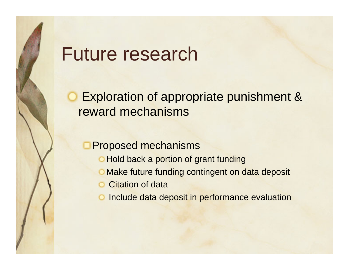# Future research

## Exploration of appropriate punishment & reward mechanisms

#### Proposed mechanisms

- **Hold back a portion of grant funding**
- **O** Make future funding contingent on data deposit
- Citation of data
- Include data deposit in performance evaluation